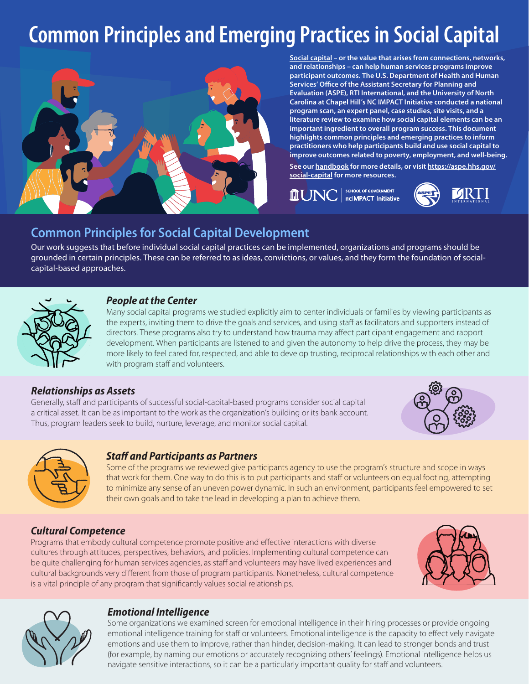# **Common Principles and Emerging Practices in Social Capital**



**[Social capital](https://aspe.hhs.gov/system/files/pdf/263491/What-is-social-capital.pdf) – or the value that arises from connections, networks, and relationships – can help human services programs improve participant outcomes. The U.S. Department of Health and Human Services' Office of the Assistant Secretary for Planning and Evaluation (ASPE), RTI International, and the University of North Carolina at Chapel Hill's NC IMPACT Initiative conducted a national program scan, an expert panel, case studies, site visits, and a literature review to examine how social capital elements can be an important ingredient to overall program success. This document highlights common principles and emerging practices to inform practitioners who help participants build and use social capital to improve outcomes related to poverty, employment, and well-being.** 

**See our [handbook](https://aspe.hhs.gov/pdf-report/social-capital-handbook) for more details, or visit [https://aspe.hhs.gov/](https://aspe.hhs.gov/social-capital) [social-capital](https://aspe.hhs.gov/social-capital) for more resources.** 

SCHOOL OF GOVERNMENT nclMPACT Initiative



# **Common Principles for Social Capital Development**

Our work suggests that before individual social capital practices can be implemented, organizations and programs should be grounded in certain principles. These can be referred to as ideas, convictions, or values, and they form the foundation of socialcapital-based approaches.



#### *People at the Center*

Many social capital programs we studied explicitly aim to center individuals or families by viewing participants as the experts, inviting them to drive the goals and services, and using staff as facilitators and supporters instead of directors. These programs also try to understand how trauma may affect participant engagement and rapport development. When participants are listened to and given the autonomy to help drive the process, they may be more likely to feel cared for, respected, and able to develop trusting, reciprocal relationships with each other and with program staff and volunteers.

# *Relationships as Assets*

Generally, staff and participants of successful social-capital-based programs consider social capital a critical asset. It can be as important to the work as the organization's building or its bank account. Thus, program leaders seek to build, nurture, leverage, and monitor social capital.





# *Staff and Participants as Partners*

Some of the programs we reviewed give participants agency to use the program's structure and scope in ways that work for them. One way to do this is to put participants and staff or volunteers on equal footing, attempting to minimize any sense of an uneven power dynamic. In such an environment, participants feel empowered to set their own goals and to take the lead in developing a plan to achieve them.

# *Cultural Competence*

Programs that embody cultural competence promote positive and effective interactions with diverse cultures through attitudes, perspectives, behaviors, and policies. Implementing cultural competence can be quite challenging for human services agencies, as staff and volunteers may have lived experiences and cultural backgrounds very different from those of program participants. Nonetheless, cultural competence is a vital principle of any program that significantly values social relationships.





# *Emotional Intelligence*

Some organizations we examined screen for emotional intelligence in their hiring processes or provide ongoing emotional intelligence training for staff or volunteers. Emotional intelligence is the capacity to effectively navigate emotions and use them to improve, rather than hinder, decision-making. It can lead to stronger bonds and trust (for example, by naming our emotions or accurately recognizing others' feelings). Emotional intelligence helps us navigate sensitive interactions, so it can be a particularly important quality for staff and volunteers.